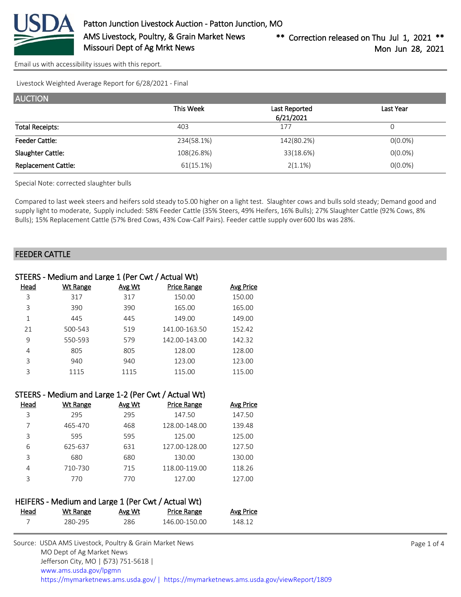

[Email us with accessibility issues with this report.](mailto:mars@ams.usda.gov?subject=508%20issue)

Livestock Weighted Average Report for 6/28/2021 - Final

| <b>AUCTION</b>             |            |                            |            |
|----------------------------|------------|----------------------------|------------|
|                            | This Week  | Last Reported<br>6/21/2021 | Last Year  |
| <b>Total Receipts:</b>     | 403        | 177                        | 0          |
| <b>Feeder Cattle:</b>      | 234(58.1%) | 142(80.2%)                 | $0(0.0\%)$ |
| Slaughter Cattle:          | 108(26.8%) | 33(18.6%)                  | $0(0.0\%)$ |
| <b>Replacement Cattle:</b> | 61(15.1%)  | $2(1.1\%)$                 | $0(0.0\%)$ |

Special Note: corrected slaughter bulls

Compared to last week steers and heifers sold steady to 5.00 higher on a light test. Slaughter cows and bulls sold steady; Demand good and supply light to moderate, Supply included: 58% Feeder Cattle (35% Steers, 49% Heifers, 16% Bulls); 27% Slaughter Cattle (92% Cows, 8% Bulls); 15% Replacement Cattle (57% Bred Cows, 43% Cow-Calf Pairs). Feeder cattle supply over 600 lbs was 28%.

### FEEDER CATTLE

| STEERS - Medium and Large 1 (Per Cwt / Actual Wt) |                 |               |               |           |  |
|---------------------------------------------------|-----------------|---------------|---------------|-----------|--|
| Head                                              | <b>Wt Range</b> | <b>Avg Wt</b> | Price Range   | Avg Price |  |
| 3                                                 | 317             | 317           | 150.00        | 150.00    |  |
| 3                                                 | 390             | 390           | 165.00        | 165.00    |  |
| 1                                                 | 445             | 445           | 149.00        | 149.00    |  |
| 21                                                | 500-543         | 519           | 141.00-163.50 | 152.42    |  |
| 9                                                 | 550-593         | 579           | 142.00-143.00 | 142.32    |  |
| 4                                                 | 805             | 805           | 128.00        | 128.00    |  |
| 3                                                 | 940             | 940           | 123.00        | 123.00    |  |
| 3                                                 | 1115            | 1115          | 115.00        | 115.00    |  |

|      | STEERS - Medium and Large 1-2 (Per Cwt / Actual Wt) |               |                    |                  |
|------|-----------------------------------------------------|---------------|--------------------|------------------|
| Head | Wt Range                                            | <b>Avg Wt</b> | <b>Price Range</b> | <b>Avg Price</b> |
| 3    | 295                                                 | 295           | 147.50             | 147.50           |
| 7    | 465-470                                             | 468           | 128.00-148.00      | 139.48           |
| 3    | 595                                                 | 595           | 125.00             | 125.00           |
| 6    | 625-637                                             | 631           | 127.00-128.00      | 127.50           |
| 3    | 680                                                 | 680           | 130.00             | 130.00           |
| 4    | 710-730                                             | 715           | 118.00-119.00      | 118.26           |
| 3    | 770                                                 | 770           | 127.00             | 127.00           |
|      |                                                     |               |                    |                  |

## HEIFERS - Medium and Large 1 (Per Cwt / Actual Wt)

| Head | Wt Range | <u>Avg Wt</u> | Price Range   | <u>Avg Price</u> |
|------|----------|---------------|---------------|------------------|
|      | 280-295  | 286           | 146.00-150.00 | 148.12           |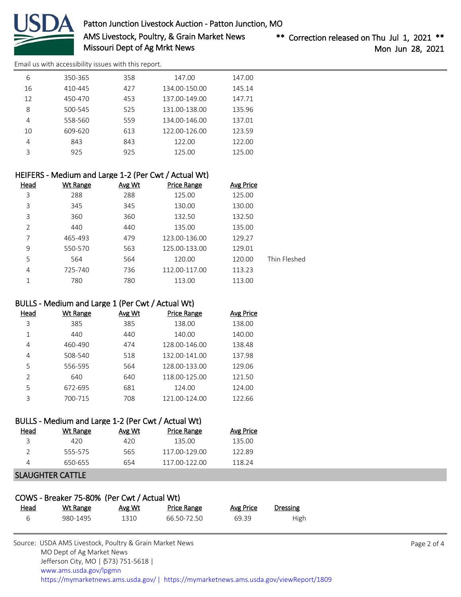

Patton Junction Livestock Auction - Patton Junction, MO AMS Livestock, Poultry, & Grain Market News Missouri Dept of Ag Mrkt News

\*\* Correction released on Thu Jul 1, 2021 \*\* Mon Jun 28, 2021

[Email us with accessibility issues with this report.](mailto:mars@ams.usda.gov?subject=508%20issue)

| 6  | 350-365 | 358 | 147.00        | 147.00 |
|----|---------|-----|---------------|--------|
| 16 | 410-445 | 427 | 134.00-150.00 | 145.14 |
| 12 | 450-470 | 453 | 137.00-149.00 | 147.71 |
| 8  | 500-545 | 525 | 131.00-138.00 | 135.96 |
| 4  | 558-560 | 559 | 134.00-146.00 | 137.01 |
| 10 | 609-620 | 613 | 122.00-126.00 | 123.59 |
| 4  | 843     | 843 | 122.00        | 122.00 |
| ς  | 925     | 925 | 125.00        | 125.00 |
|    |         |     |               |        |

| HEIFERS - Medium and Large 1-2 (Per Cwt / Actual Wt)                  |                  |              |
|-----------------------------------------------------------------------|------------------|--------------|
| <b>Head</b><br><u>Avg Wt</u><br><b>Wt Range</b><br><b>Price Range</b> | <b>Avg Price</b> |              |
| 288<br>288                                                            | 125.00           |              |
| 3<br>345<br>345                                                       | 130.00           |              |
| 360<br>360                                                            | 132.50           |              |
| 2<br>440<br>440                                                       | 135.00           |              |
| 465-493<br>479<br>123.00-136.00                                       | 129.27           |              |
| 550-570<br>563<br>125.00-133.00                                       | 129.01           |              |
| 564<br>564                                                            | 120.00           | Thin Fleshed |
| 725-740<br>736<br>112.00-117.00                                       | 113.23           |              |
| 780<br>780                                                            | 113.00           |              |
|                                                                       |                  |              |

# BULLS - Medium and Large 1 (Per Cwt / Actual Wt)

| Head           | Wt Range | Avg Wt | <b>Price Range</b> | <b>Avg Price</b> |
|----------------|----------|--------|--------------------|------------------|
| 3              | 385      | 385    | 138.00             | 138.00           |
|                | 440      | 440    | 140.00             | 140.00           |
| 4              | 460-490  | 474    | 128.00-146.00      | 138.48           |
| 4              | 508-540  | 518    | 132.00-141.00      | 137.98           |
| 5              | 556-595  | 564    | 128.00-133.00      | 129.06           |
| $\mathfrak{D}$ | 640      | 640    | 118.00-125.00      | 121.50           |
| 5              | 672-695  | 681    | 124.00             | 124.00           |
| 3              | 700-715  | 708    | 121.00-124.00      | 122.66           |

#### BULLS - Medium and Large 1-2 (Per Cwt / Actual Wt) Head Wt Range Avg Wt Price Range Avg Price

| . | <b>TTC INSTRUCT</b> |     | 11001100      | 11.0   |
|---|---------------------|-----|---------------|--------|
|   | 420                 | 420 | 135.00        | 135.00 |
|   | 555-575             | 565 | 117 00-129 00 | 122.89 |
|   | 650-655             | 654 | 117 00-122 00 | 118.24 |
|   |                     |     |               |        |

# SLAUGHTER CATTLE

| COWS - Breaker 75-80% (Per Cwt / Actual Wt) |          |        |             |           |          |  |
|---------------------------------------------|----------|--------|-------------|-----------|----------|--|
| <u>Head</u>                                 | Wt Range | Avg Wt | Price Range | Avg Price | Dressing |  |
| $\epsilon$                                  | 980-1495 | 1310   | 66.50-72.50 | 69.39     | High     |  |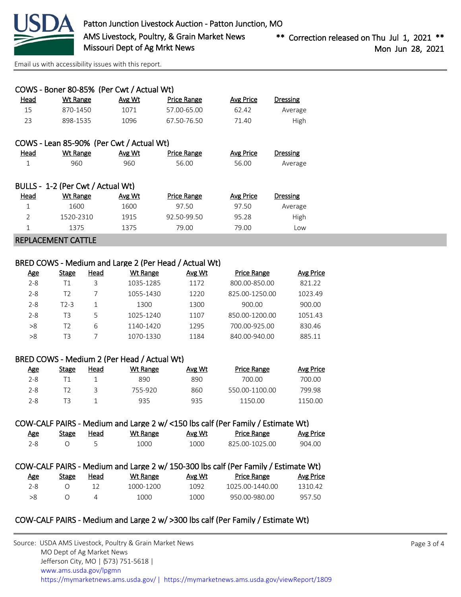

[Email us with accessibility issues with this report.](mailto:mars@ams.usda.gov?subject=508%20issue)

|                                   | COWS - Boner 80-85% (Per Cwt / Actual Wt) |        |                    |           |          |  |  |  |
|-----------------------------------|-------------------------------------------|--------|--------------------|-----------|----------|--|--|--|
| Head                              | <b>Wt Range</b>                           | Avg Wt | <b>Price Range</b> | Avg Price | Dressing |  |  |  |
| 15                                | 870-1450                                  | 1071   | 57.00-65.00        | 62.42     | Average  |  |  |  |
| 23                                | 898-1535                                  | 1096   | 67.50-76.50        | 71.40     | High     |  |  |  |
|                                   | COWS - Lean 85-90% (Per Cwt / Actual Wt)  |        |                    |           |          |  |  |  |
| Head                              | Wt Range                                  | Avg Wt | <b>Price Range</b> | Avg Price | Dressing |  |  |  |
| 1                                 | 960                                       | 960    | 56.00              | 56.00     | Average  |  |  |  |
| BULLS - 1-2 (Per Cwt / Actual Wt) |                                           |        |                    |           |          |  |  |  |
| Head                              | Wt Range                                  | Avg Wt | <b>Price Range</b> | Avg Price | Dressing |  |  |  |
| 1                                 | 1600                                      | 1600   | 97.50              | 97.50     | Average  |  |  |  |
| 2                                 | 1520-2310                                 | 1915   | 92.50-99.50        | 95.28     | High     |  |  |  |
| $\mathbf{1}$                      | 1375                                      | 1375   | 79.00              | 79.00     | Low      |  |  |  |

#### REPLACEMENT CATTLE

### BRED COWS - Medium and Large 2 (Per Head / Actual Wt)

| <u>Age</u> | Stage | Head | Wt Range  | Avg Wt | <b>Price Range</b> | Avg Price |
|------------|-------|------|-----------|--------|--------------------|-----------|
| $2 - 8$    | Τ1    | 3    | 1035-1285 | 1172   | 800.00-850.00      | 821.22    |
| $2 - 8$    | T2    |      | 1055-1430 | 1220   | 825.00-1250.00     | 1023.49   |
| $2 - 8$    | T2-3  |      | 1300      | 1300   | 900.00             | 900.00    |
| $2 - 8$    | T3    | 5    | 1025-1240 | 1107   | 850.00-1200.00     | 1051.43   |
| >8         | T2    | 6    | 1140-1420 | 1295   | 700.00-925.00      | 830.46    |
| >8         | TЗ    |      | 1070-1330 | 1184   | 840.00-940.00      | 885.11    |

### BRED COWS - Medium 2 (Per Head / Actual Wt)

| <u>Age</u> | Stage | Head | Wt Range | Avg Wt | <b>Price Range</b> | Avg Price |
|------------|-------|------|----------|--------|--------------------|-----------|
| 2-8        |       |      | 890      | 890    | 700.00             | 700.00    |
| 2-8        |       |      | 755-920  | 860    | 550.00-1100.00     | 799.98    |
| 2-8        |       |      | 935      | 935    | 1150.00            | 1150.00   |

# COW-CALF PAIRS - Medium and Large 2 w/ <150 lbs calf (Per Family / Estimate Wt)

| <u>Age</u> | <b>Stage</b> | Head | Wt Range | Avg Wt | <b>Price Range</b> | <u>Avg Price</u> |
|------------|--------------|------|----------|--------|--------------------|------------------|
|            |              |      | 1000     | 1000   | 825.00-1025.00     | 904.00           |

|         |       |      |           |        | COW-CALF PAIRS - Medium and Large 2 w/ 150-300 lbs calf (Per Family / Estimate Wt) |           |
|---------|-------|------|-----------|--------|------------------------------------------------------------------------------------|-----------|
| Age     | Stage | Head | Wt Range  | Avg Wt | Price Range                                                                        | Avg Price |
| $2 - 8$ |       | 12   | 1000-1200 | 1092   | 1025 00-1440 00                                                                    | 1310.42   |
| > 8     |       |      | 1000      | 1000   | 950.00-980.00                                                                      | 957 50    |

## COW-CALF PAIRS - Medium and Large 2 w/ >300 lbs calf (Per Family / Estimate Wt)